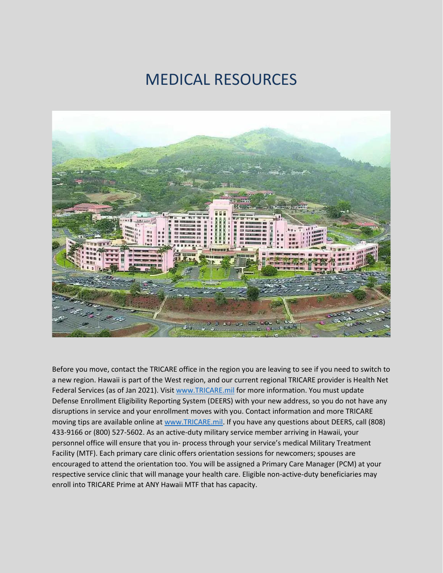## MEDICAL RESOURCES



Before you move, contact the TRICARE office in the region you are leaving to see if you need to switch to a new region. Hawaii is part of the West region, and our current regional TRICARE provider is Health Net Federal Services (as of Jan 2021). Visi[t www.TRICARE.mil](http://www.tricare.mil/) for more information. You must update Defense Enrollment Eligibility Reporting System (DEERS) with your new address, so you do not have any disruptions in service and your enrollment moves with you. Contact information and more TRICARE moving tips are available online at [www.TRICARE.mil.](http://www.tricare.mil/) If you have any questions about DEERS, call (808) 433-9166 or (800) 527-5602. As an active-duty military service member arriving in Hawaii, your personnel office will ensure that you in- process through your service's medical Military Treatment Facility (MTF). Each primary care clinic offers orientation sessions for newcomers; spouses are encouraged to attend the orientation too. You will be assigned a Primary Care Manager (PCM) at your respective service clinic that will manage your health care. Eligible non-active-duty beneficiaries may enroll into TRICARE Prime at ANY Hawaii MTF that has capacity.